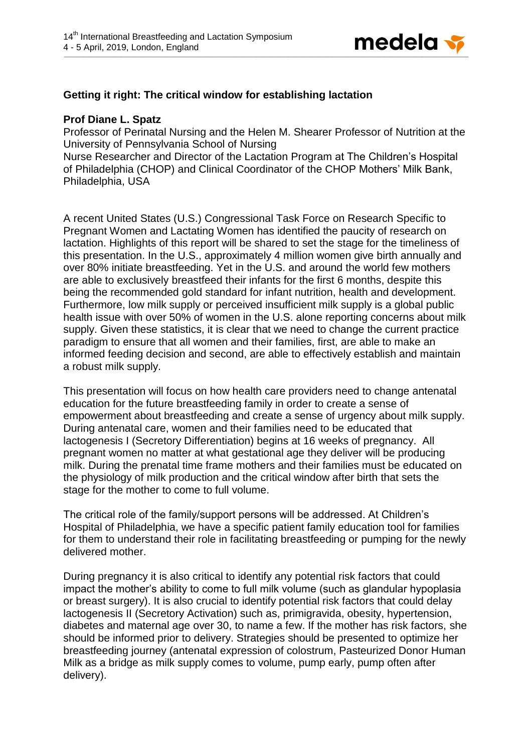

## **Getting it right: The critical window for establishing lactation**

## **Prof Diane L. Spatz**

Professor of Perinatal Nursing and the Helen M. Shearer Professor of Nutrition at the University of Pennsylvania School of Nursing

Nurse Researcher and Director of the Lactation Program at The Children's Hospital of Philadelphia (CHOP) and Clinical Coordinator of the CHOP Mothers' Milk Bank, Philadelphia, USA

A recent United States (U.S.) Congressional Task Force on Research Specific to Pregnant Women and Lactating Women has identified the paucity of research on lactation. Highlights of this report will be shared to set the stage for the timeliness of this presentation. In the U.S., approximately 4 million women give birth annually and over 80% initiate breastfeeding. Yet in the U.S. and around the world few mothers are able to exclusively breastfeed their infants for the first 6 months, despite this being the recommended gold standard for infant nutrition, health and development. Furthermore, low milk supply or perceived insufficient milk supply is a global public health issue with over 50% of women in the U.S. alone reporting concerns about milk supply. Given these statistics, it is clear that we need to change the current practice paradigm to ensure that all women and their families, first, are able to make an informed feeding decision and second, are able to effectively establish and maintain a robust milk supply.

This presentation will focus on how health care providers need to change antenatal education for the future breastfeeding family in order to create a sense of empowerment about breastfeeding and create a sense of urgency about milk supply. During antenatal care, women and their families need to be educated that lactogenesis I (Secretory Differentiation) begins at 16 weeks of pregnancy. All pregnant women no matter at what gestational age they deliver will be producing milk. During the prenatal time frame mothers and their families must be educated on the physiology of milk production and the critical window after birth that sets the stage for the mother to come to full volume.

The critical role of the family/support persons will be addressed. At Children's Hospital of Philadelphia, we have a specific patient family education tool for families for them to understand their role in facilitating breastfeeding or pumping for the newly delivered mother.

During pregnancy it is also critical to identify any potential risk factors that could impact the mother's ability to come to full milk volume (such as glandular hypoplasia or breast surgery). It is also crucial to identify potential risk factors that could delay lactogenesis II (Secretory Activation) such as, primigravida, obesity, hypertension, diabetes and maternal age over 30, to name a few. If the mother has risk factors, she should be informed prior to delivery. Strategies should be presented to optimize her breastfeeding journey (antenatal expression of colostrum, Pasteurized Donor Human Milk as a bridge as milk supply comes to volume, pump early, pump often after delivery).